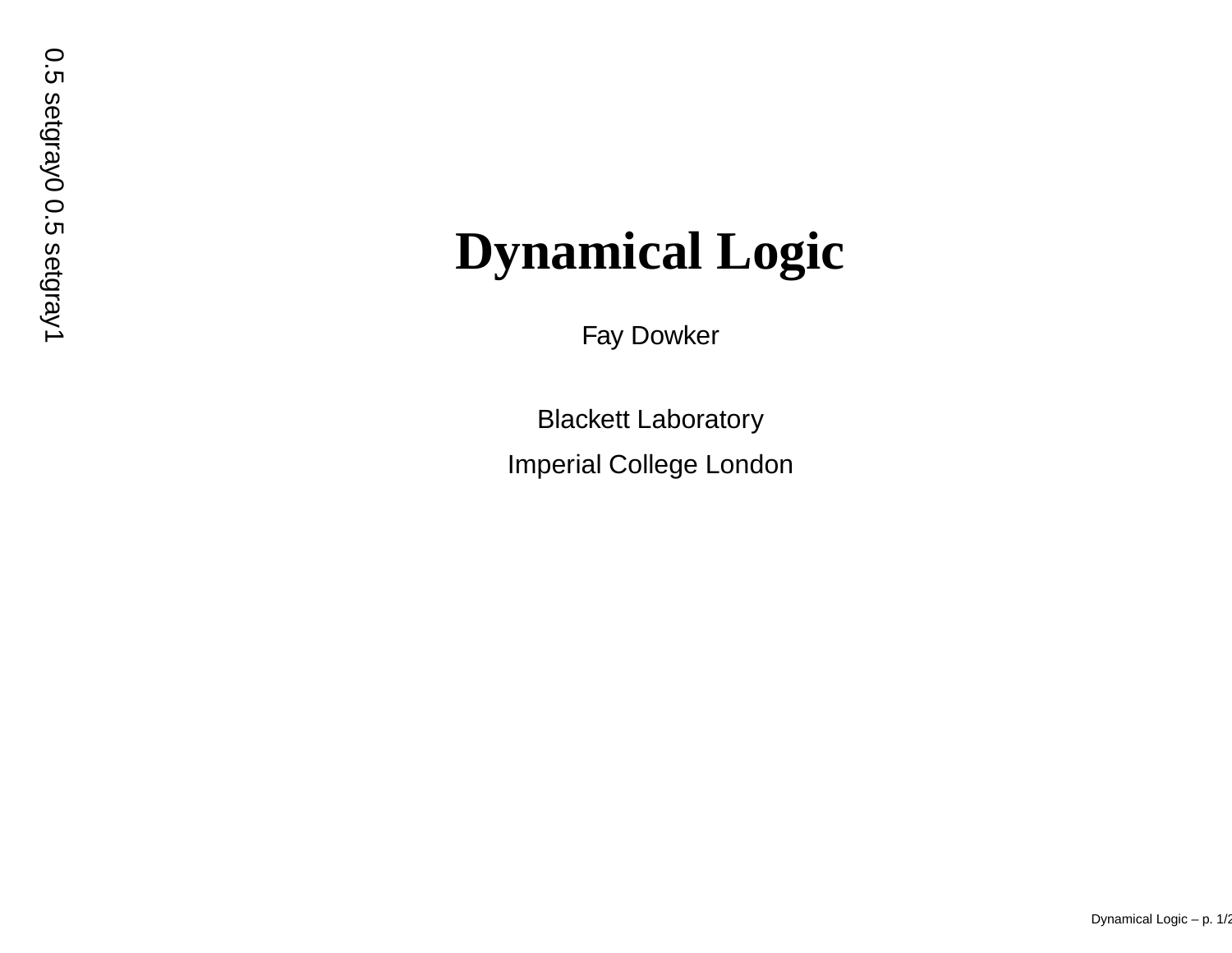# **Dynamical Logic**

)<br>|

setgray<br>D

0<br>|<br>|

F a y Dowker

Blac kett Laborator y Imperial College London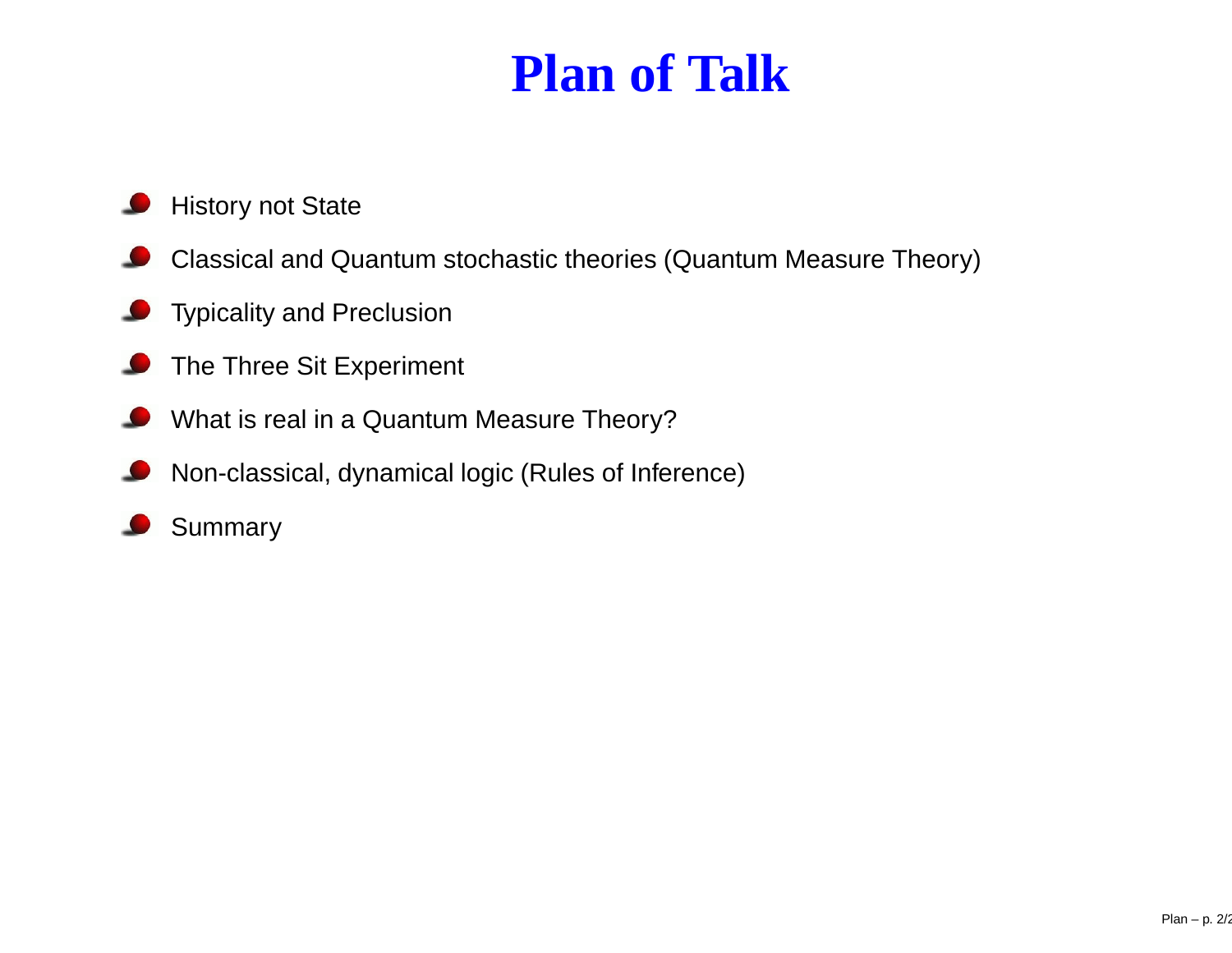## **Plan of Talk**

- History not State
- Classical and Quantum stochastic theories (Quantum Measure Theory)
- Typicality and Preclusion ىك
- The Three Sit Experiment ى
- What is real in <sup>a</sup> Quantum Measure Theory?
- Non-classical, dynamical logic (Rules of Inference) D
- Summary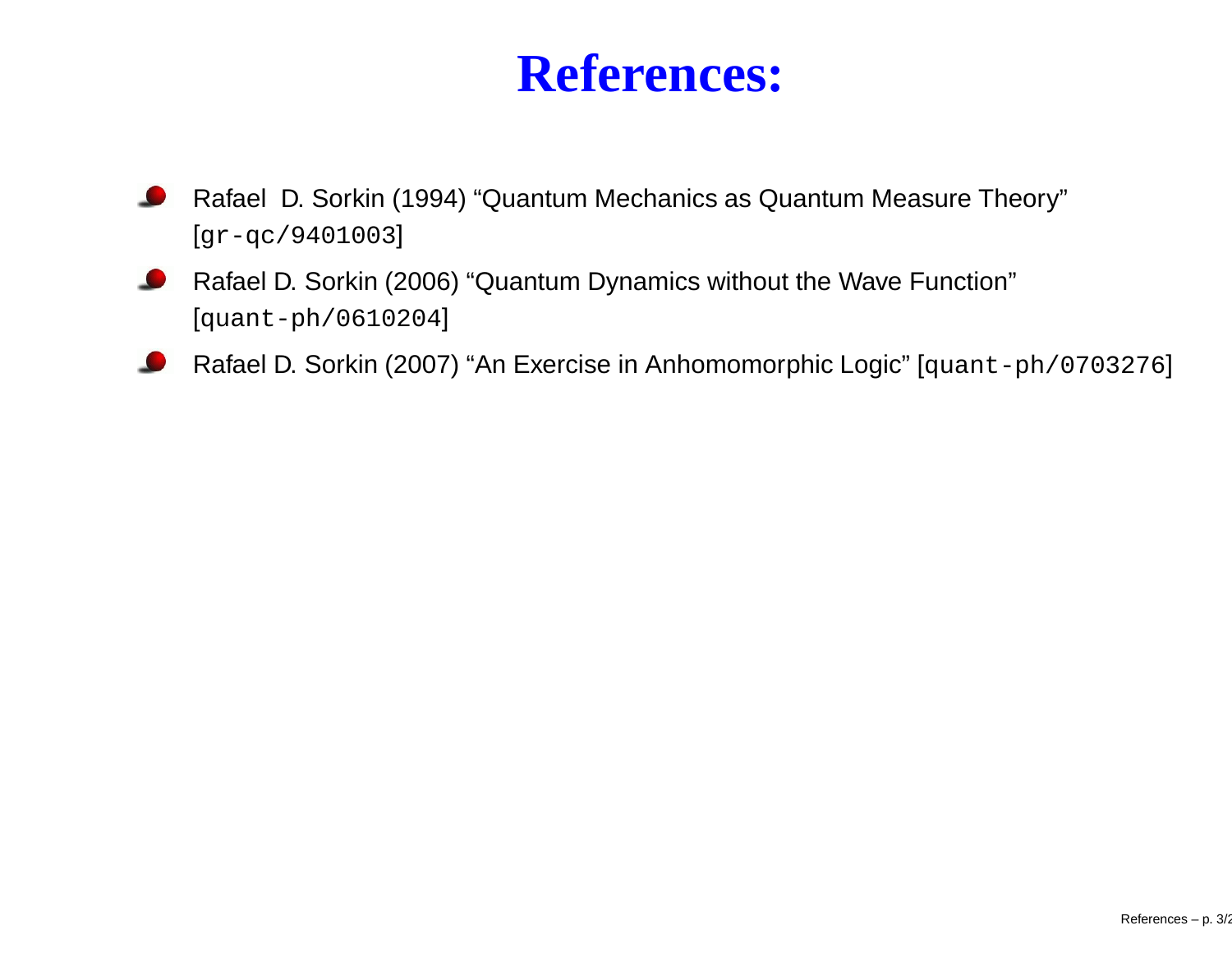#### **References:**

- Rafael D. Sorkin (1994) "Quantum Mechanics as Quantum Measure Theory" [gr-qc/9401003]
- Rafael D. Sorkin (2006) "Quantum Dynamics without the Wave Function" [quant-ph/0610204]
- Rafael D. Sorkin (2007) "An Exercise in Anhomomorphic Logic" [quant-ph/0703276]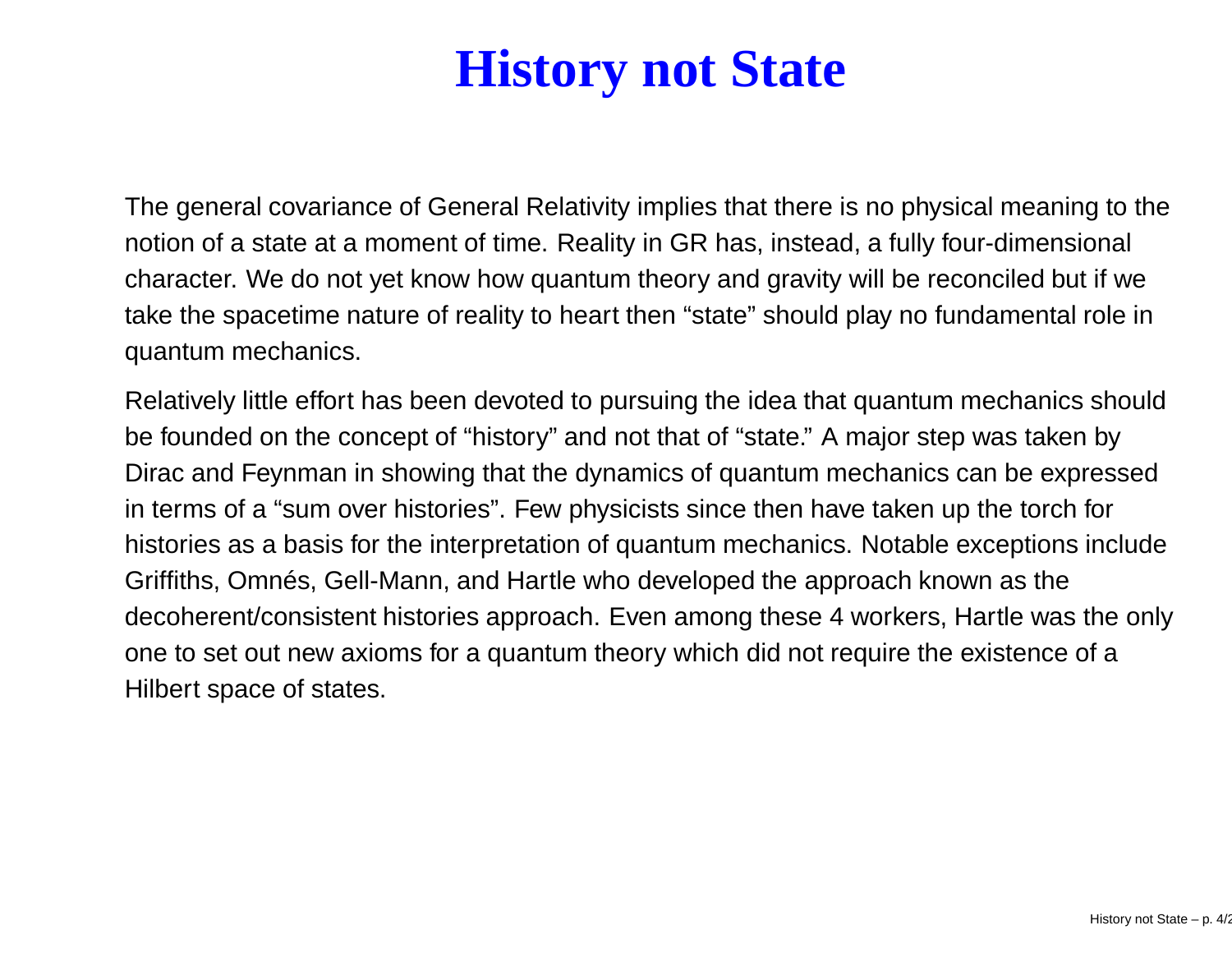## **History not State**

The general covariance of General Relativity implies that there is no physical meaning to the notion of <sup>a</sup> state at <sup>a</sup> moment of time. Reality in GR has, instead, <sup>a</sup> fully four-dimensional character. We do not yet know how quantum theory and gravity will be reconciled but if we take the spacetime nature of reality to heart then "state" should play no fundamental role in quantum mechanics.

Relatively little effort has been devoted to pursuing the idea that quantum mechanics should be founded on the concept of "history" and not that of "state." A major step was taken by Dirac and Feynman in showing that the dynamics of quantum mechanics can be expressed in terms of a "sum over histories". Few physicists since then have taken up the torch for histories as a basis for the interpretation of quantum mechanics. Notable exceptions include Griffiths, Omnés, Gell-Mann, and Hartle who developed the approach known as the decoherent/consistent histories approach. Even among these 4 workers, Hartle was the only one to set out new axioms for <sup>a</sup> quantum theory which did not require the existence of <sup>a</sup> Hilbert space of states.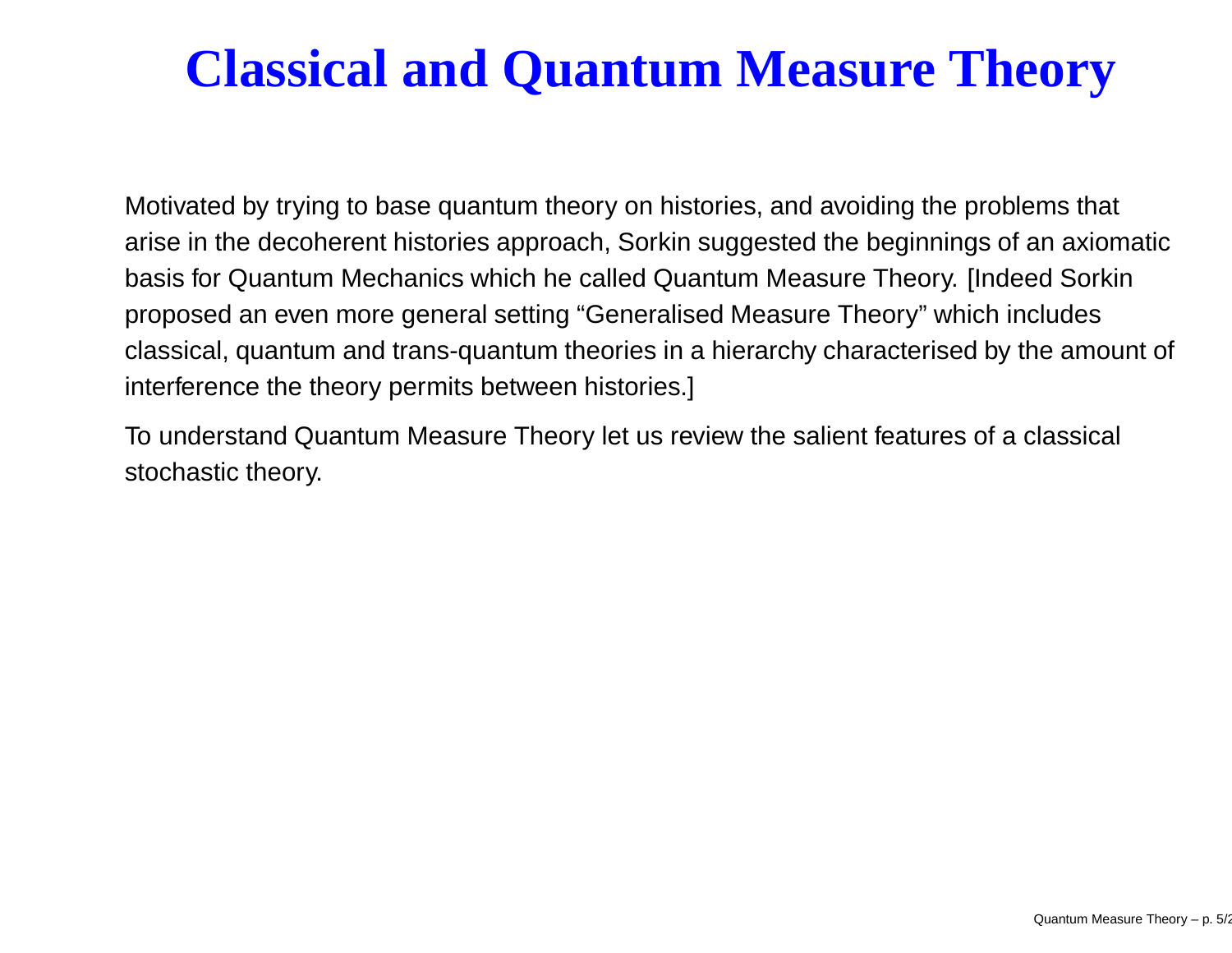## **Classical and Quantum Measure Theory**

Motivated by trying to base quantum theory on histories, and avoiding the problems that arise in the decoherent histories approach, Sorkin suggested the beginnings of an axiomatic basis for Quantum Mechanics which he called Quantum Measure Theory. [Indeed Sorkin proposed an even more general setting "Generalised Measure Theory" which includes classical, quantum and trans-quantum theories in <sup>a</sup> hierarchy characterised by the amount of interference the theory permits between histories.]

To understand Quantum Measure Theory let us review the salient features of <sup>a</sup> classical stochastic theory.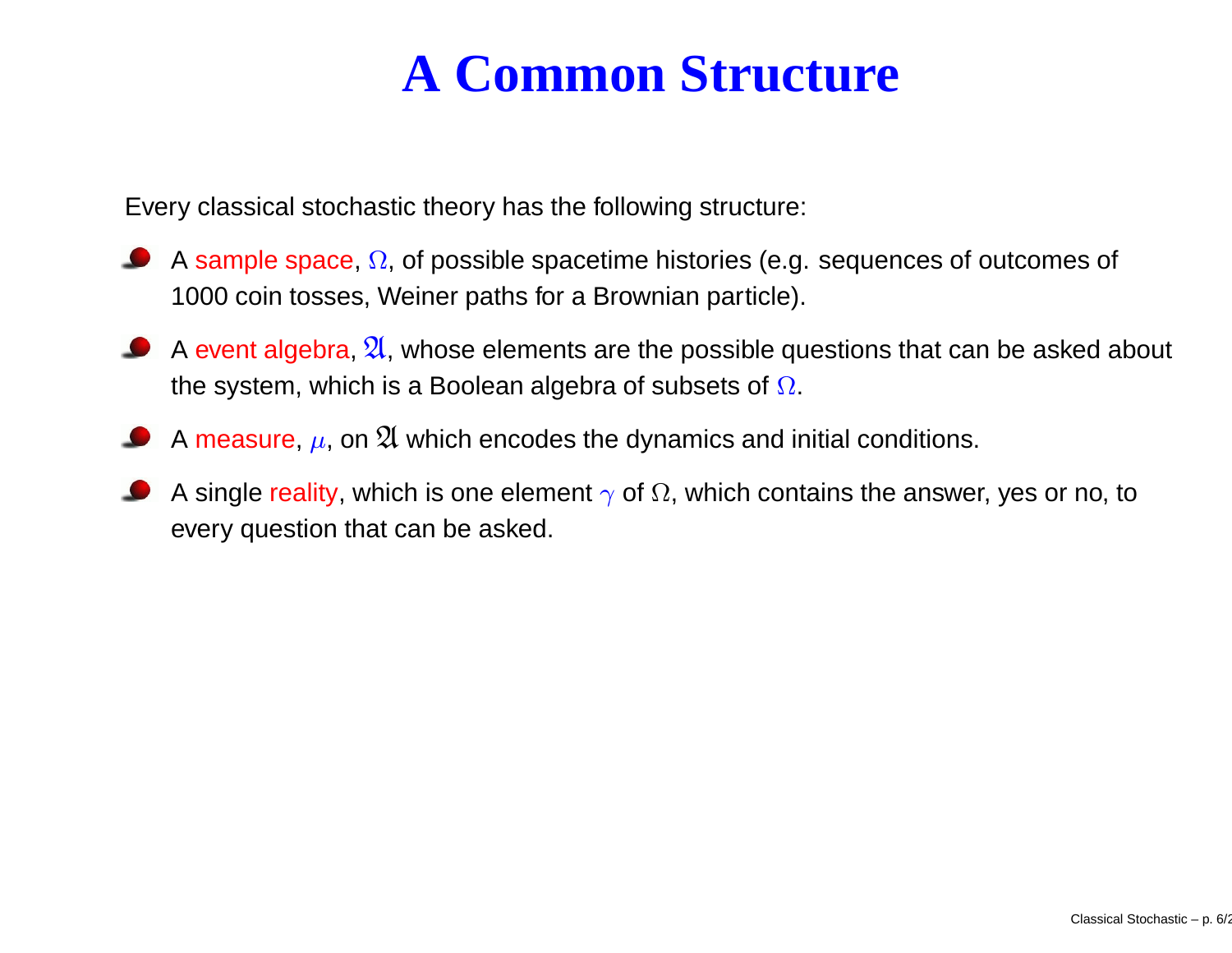## **A Common Structure**

Every classical stochastic theory has the following structure:

- A sample space,  $\Omega$ , of possible spacetime histories (e.g. sequences of outcomes of 1000 coin tosses, Weiner paths for <sup>a</sup> Brownian particle).
- A event algebra,  $\frak A$ , whose elements are the possible questions that can be asked about the system, which is a Boolean algebra of subsets of  $\Omega.$
- A measure,  $\mu$ , on  $\mathfrak A$  which encodes the dynamics and initial conditions.
- A single reality, which is one element  $\gamma$  of  $\Omega,$  which contains the answer, yes or no, to every question that can be asked.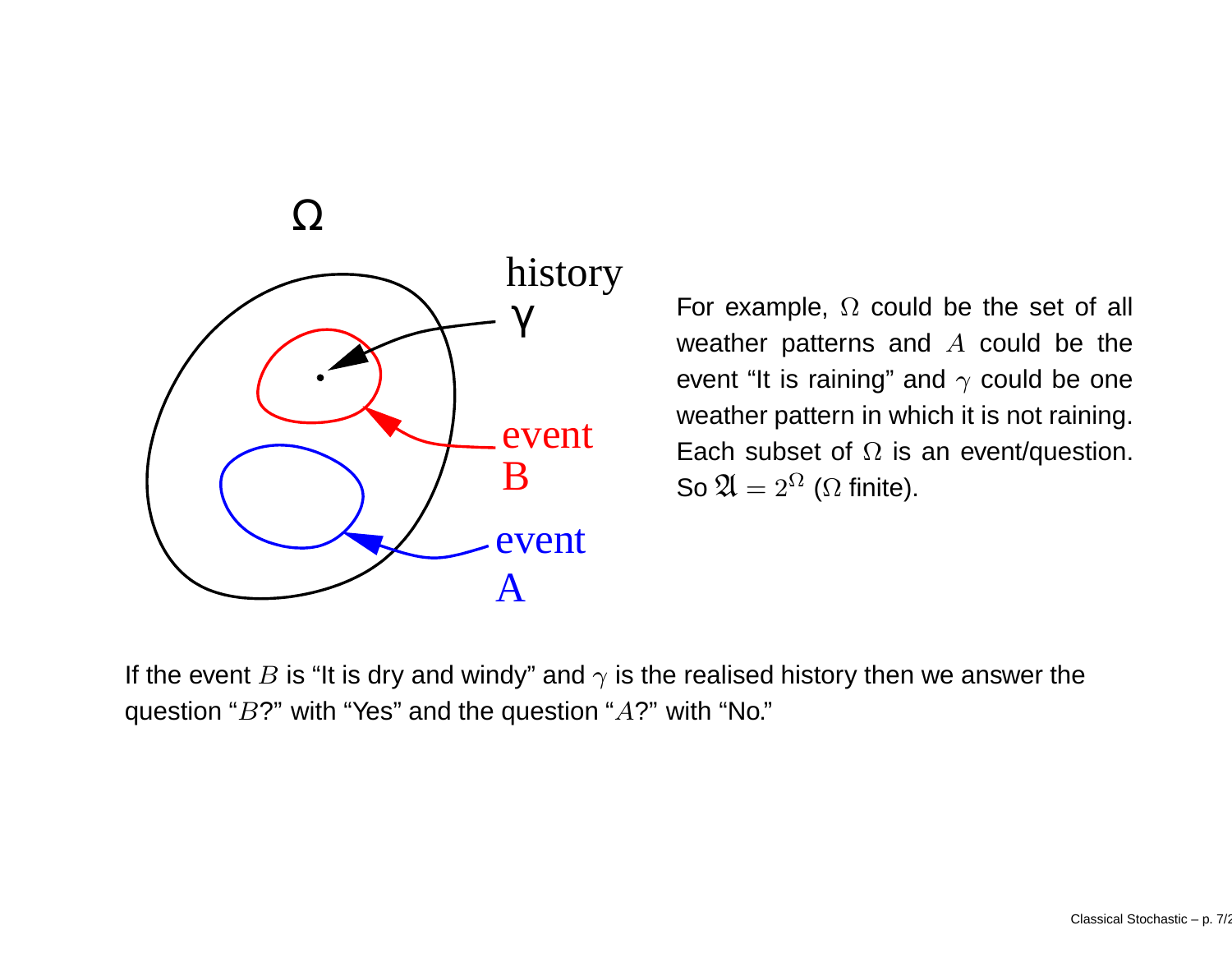

For example,  $\Omega$  could be the set of all weather patterns and  $A$  could be the event "It is raining" and  $\gamma$  could be one weather pattern in which it is not raining. Each subset of  $\Omega$  is an event/question. So  $\mathfrak{A}=2^{\Omega}$  ( $\Omega$  finite).

If the event  $B$  is "It is dry and windy" and  $\gamma$  is the realised history then we answer the question " $B$ ?" with "Yes" and the question " $A$ ?" with "No."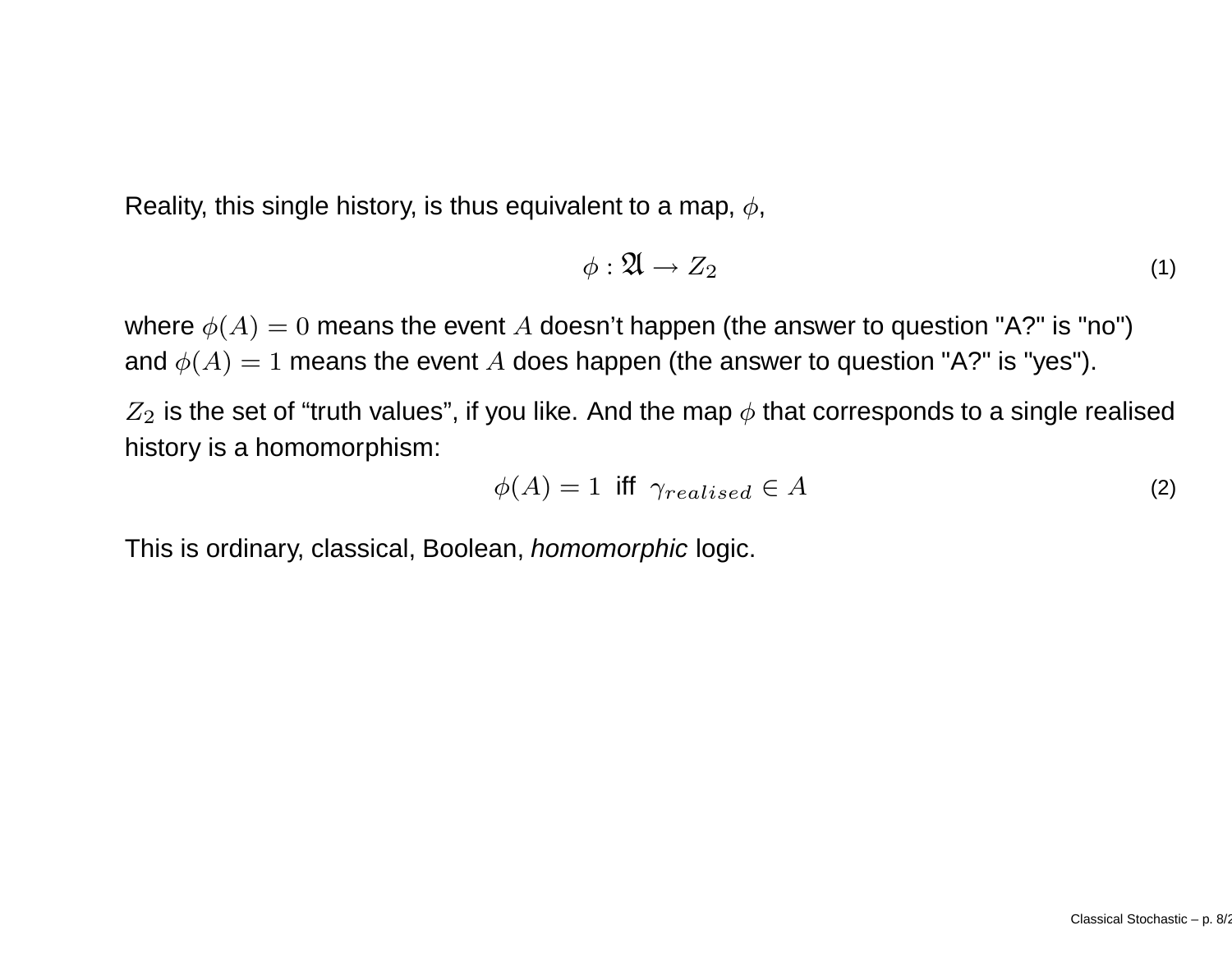Reality, this single history, is thus equivalent to a map,  $\phi$ ,

$$
\phi: \mathfrak{A} \to Z_2 \tag{1}
$$

where  $\phi(A)=0$  means the event  $A$  doesn't happen (the answer to question "A?" is "no") and  $\phi(A)=1$  means the event  $A$  does happen (the answer to question "A?" is "yes").

 $Z_2$  is the set of "truth values", if you like. And the map  $\phi$  that corresponds to a single realised history is <sup>a</sup> homomorphism:

$$
\phi(A) = 1 \text{ iff } \gamma_{realised} \in A \tag{2}
$$

This is ordinary, classical, Boolean, *homomorphic* logic.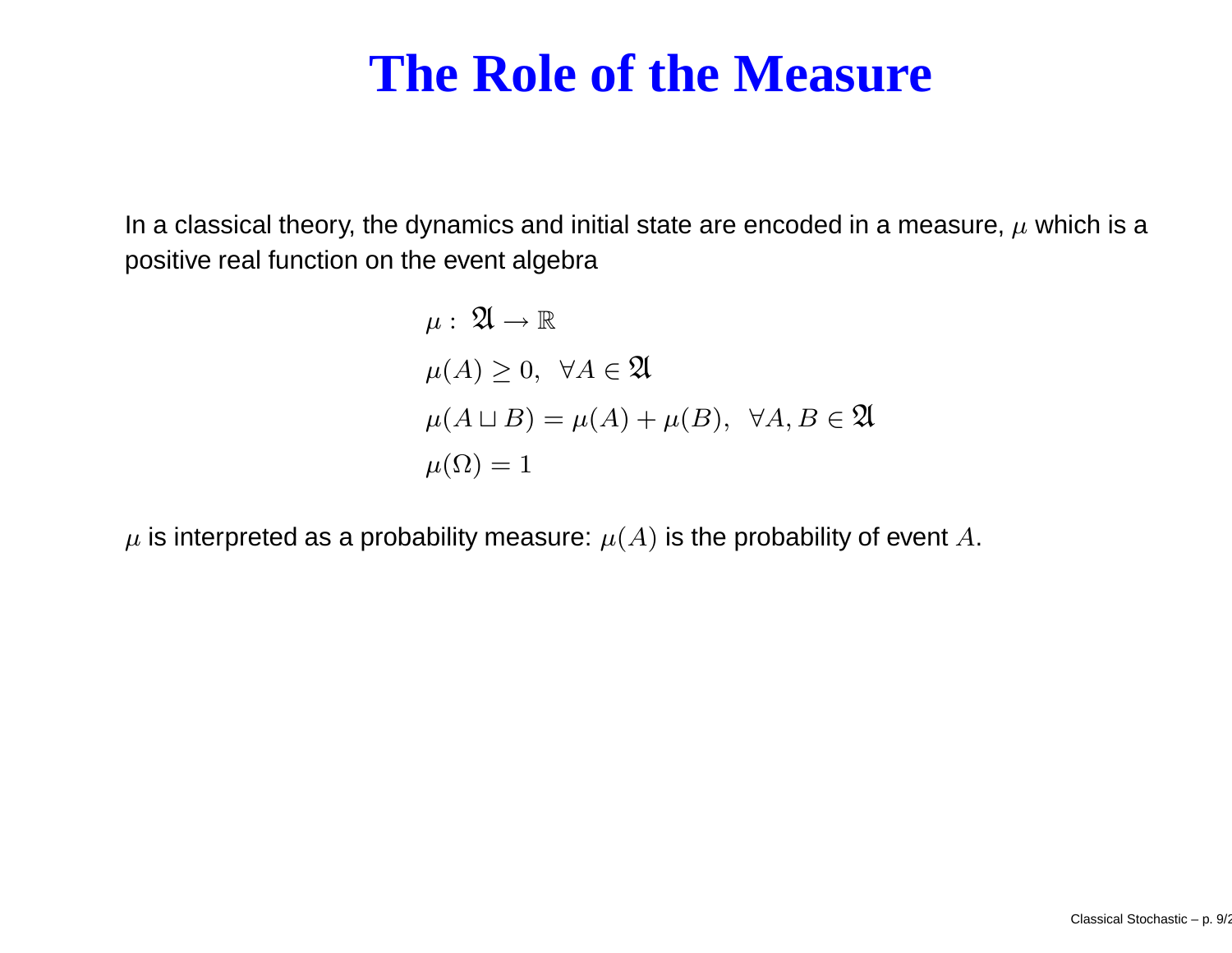#### **The Role of the Measure**

In a classical theory, the dynamics and initial state are encoded in a measure,  $\mu$  which is a positive real function on the event algebra

$$
\mu: \mathfrak{A} \to \mathbb{R}
$$
  
\n
$$
\mu(A) \ge 0, \ \forall A \in \mathfrak{A}
$$
  
\n
$$
\mu(A \sqcup B) = \mu(A) + \mu(B), \ \forall A, B \in \mathfrak{A}
$$
  
\n
$$
\mu(\Omega) = 1
$$

 $\mu$  is interpreted as a probability measure:  $\mu(A)$  is the probability of event A.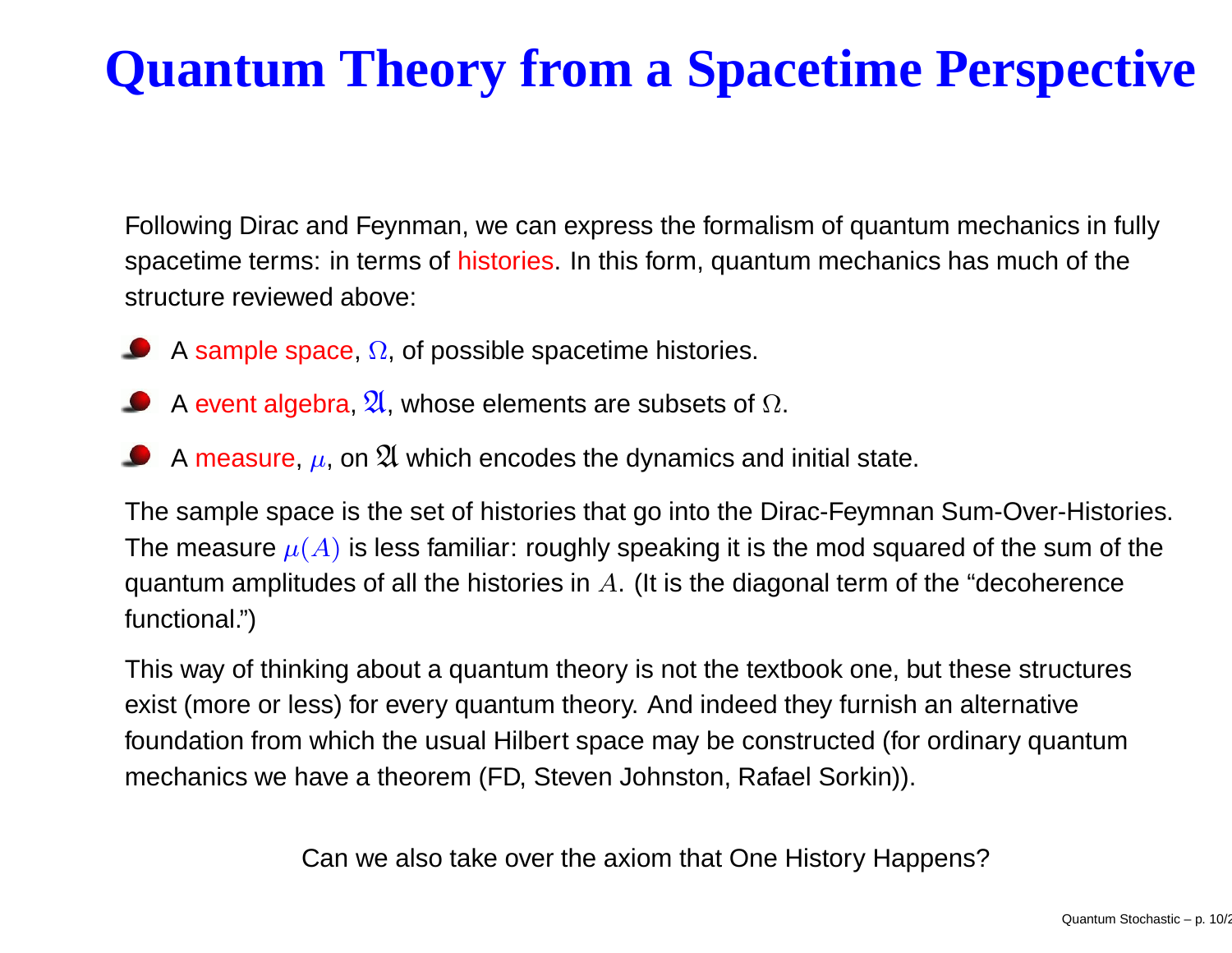## **Quantum Theory from <sup>a</sup> Spacetime Perspective**

Following Dirac and Feynman, we can express the formalism of quantum mechanics in fully spacetime terms: in terms of histories. In this form, quantum mechanics has much of the structure reviewed above:

- A sample space,  $\Omega$ , of possible spacetime histories.
- A event algebra,  $\mathfrak A$ , whose elements are subsets of  $\Omega.$
- A measure,  $\mu$ , on  $\mathfrak A$  which encodes the dynamics and initial state.

The sample space is the set of histories that go into the Dirac-Feymnan Sum-Over-Histories. The measure  $\mu(A)$  is less familiar: roughly speaking it is the mod squared of the sum of the quantum amplitudes of all the histories in  $A$ . (It is the diagonal term of the "decoherence functional.")

This way of thinking about <sup>a</sup> quantum theory is not the textbook one, but these structures exist (more or less) for every quantum theory. And indeed they furnish an alternative foundation from which the usual Hilbert space may be constructed (for ordinary quantum mechanics we have a theorem (FD, Steven Johnston, Rafael Sorkin)).

Can we also take over the axiom that One History Happens?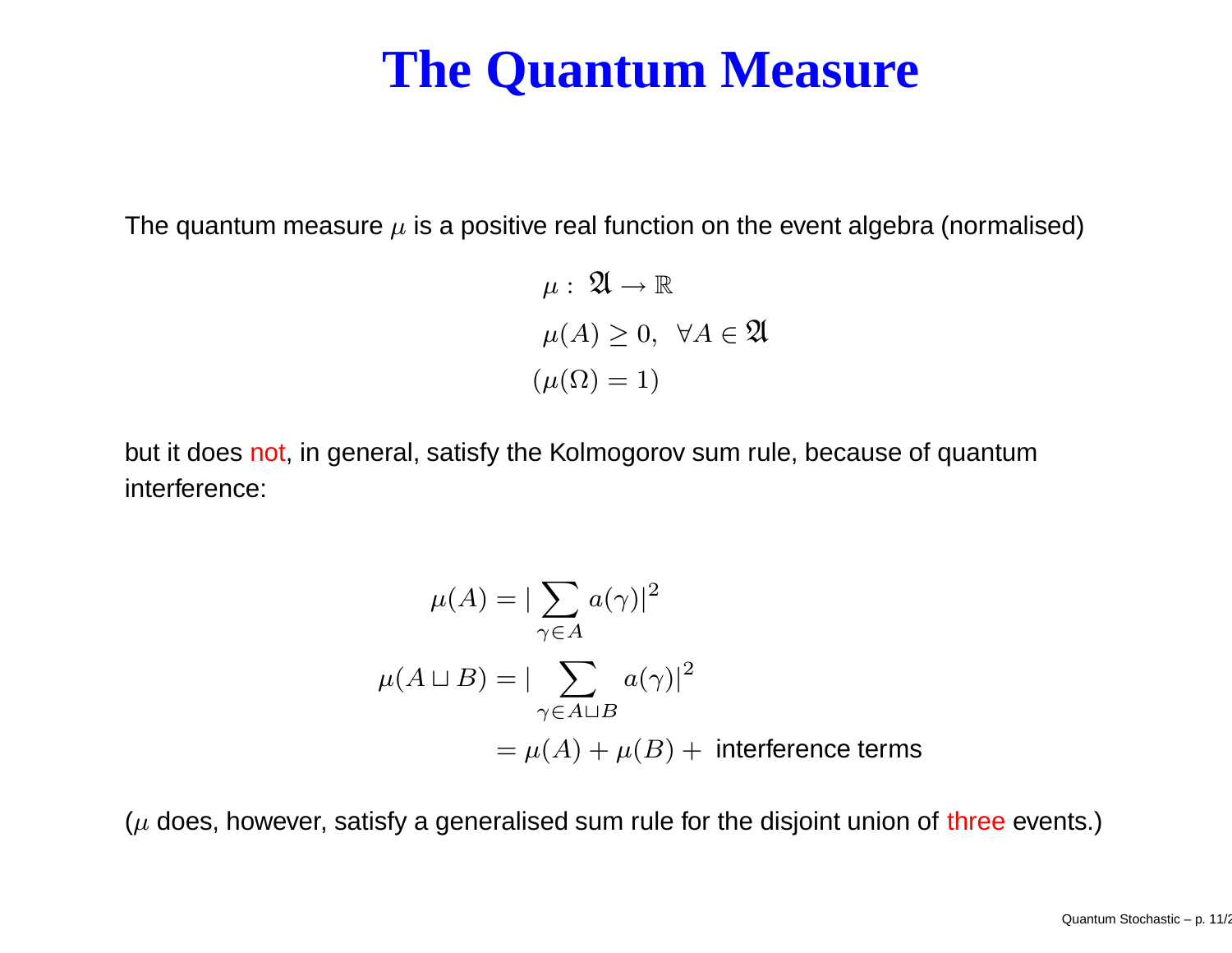#### **The Quantum Measure**

The quantum measure  $\mu$  is a positive real function on the event algebra (normalised)

$$
\mu: \mathfrak{A} \to \mathbb{R}
$$

$$
\mu(A) \ge 0, \ \forall A \in \mathfrak{A}
$$

$$
(\mu(\Omega) = 1)
$$

but it does not, in general, satisfy the Kolmogorov sum rule, because of quantum interference:

$$
\mu(A) = |\sum_{\gamma \in A} a(\gamma)|^2
$$
  

$$
\mu(A \sqcup B) = |\sum_{\gamma \in A \sqcup B} a(\gamma)|^2
$$
  

$$
= \mu(A) + \mu(B) + \text{ interference terms}
$$

( $\mu$  does, however, satisfy a generalised sum rule for the disjoint union of three events.)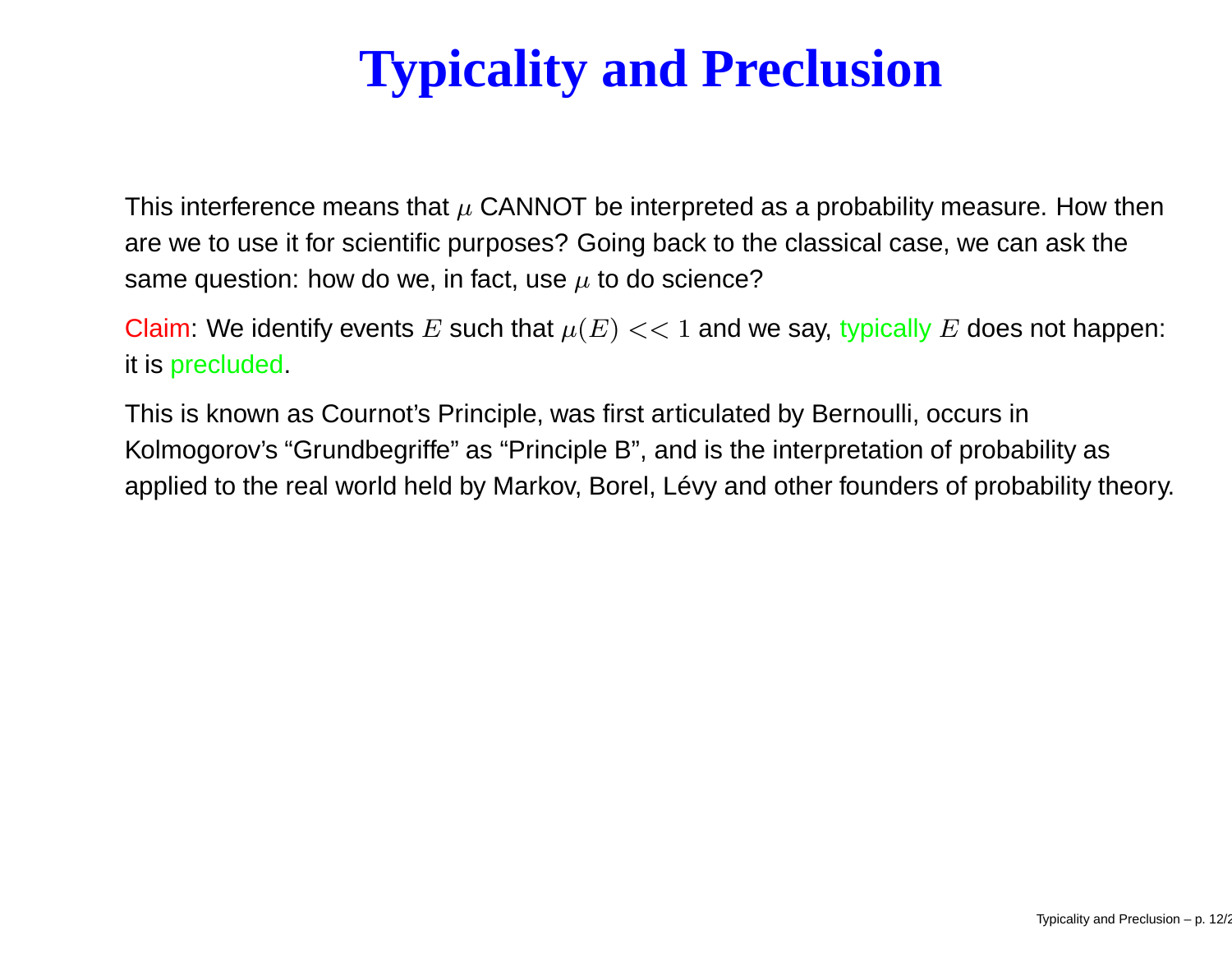# **Typicality and Preclusion**

This interference means that  $\mu$  CANNOT be interpreted as a probability measure. How then are we to use it for scientific purposes? Going back to the classical case, we can ask the same question: how do we, in fact, use  $\mu$  to do science?

Claim: We identify events  $E$  such that  $\mu(E)<<1$  and we say, typically  $E$  does not happen: it is precluded.

This is known as Cournot's Principle, was first articulated by Bernoulli, occurs in Kolmogorov's "Grundbegriffe" as "Principle B", and is the interpretation of probability as applied to the real world held by Markov, Borel, Lévy and other founders of probability theory.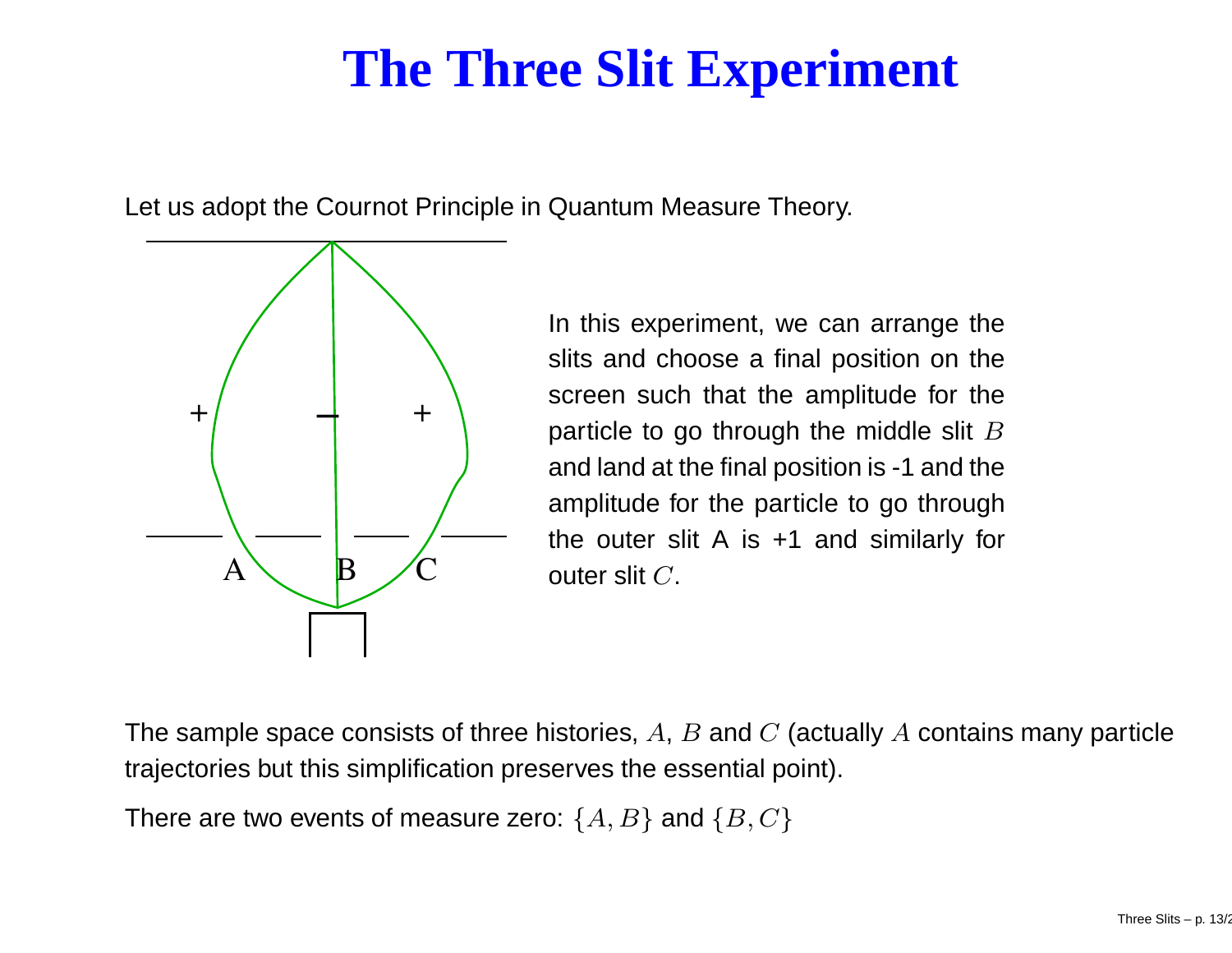## **The Three Slit Experiment**

Let us adopt the Cournot Principle in Quantum Measure Theory.



In this experiment, we can arrange the slits and choose <sup>a</sup> final position on the screen such that the amplitude for the particle to go through the middle slit  $B$ and land at the final position is -1 and the amplitude for the particle to go through the outer slit A is +1 and similarly for outer slit  $C.$ 

The sample space consists of three histories,  $A, \, B$  and  $C$  (actually  $A$  contains many particle trajectories but this simplification preserves the essential point).

There are two events of measure zero:  $\{A,B\}$  and  $\{B,C\}$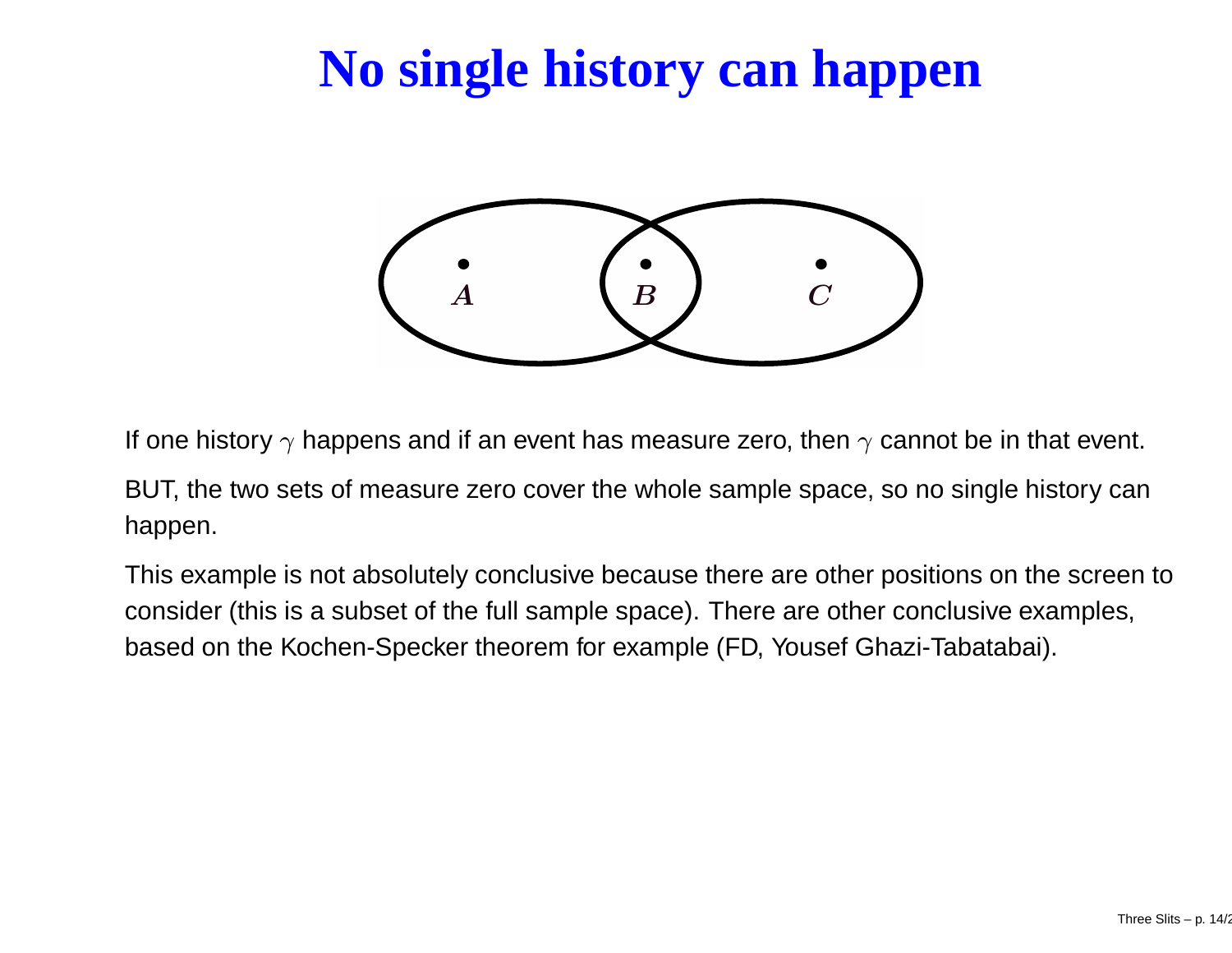## **No single history can happen**



If one history  $\gamma$  happens and if an event has measure zero, then  $\gamma$  cannot be in that event.

BUT, the two sets of measure zero cover the whole sample space, so no single history can happen.

This example is not absolutely conclusive because there are other positions on the screen to consider (this is <sup>a</sup> subset of the full sample space). There are other conclusive examples, based on the Kochen-Specker theorem for example (FD, Yousef Ghazi-Tabatabai).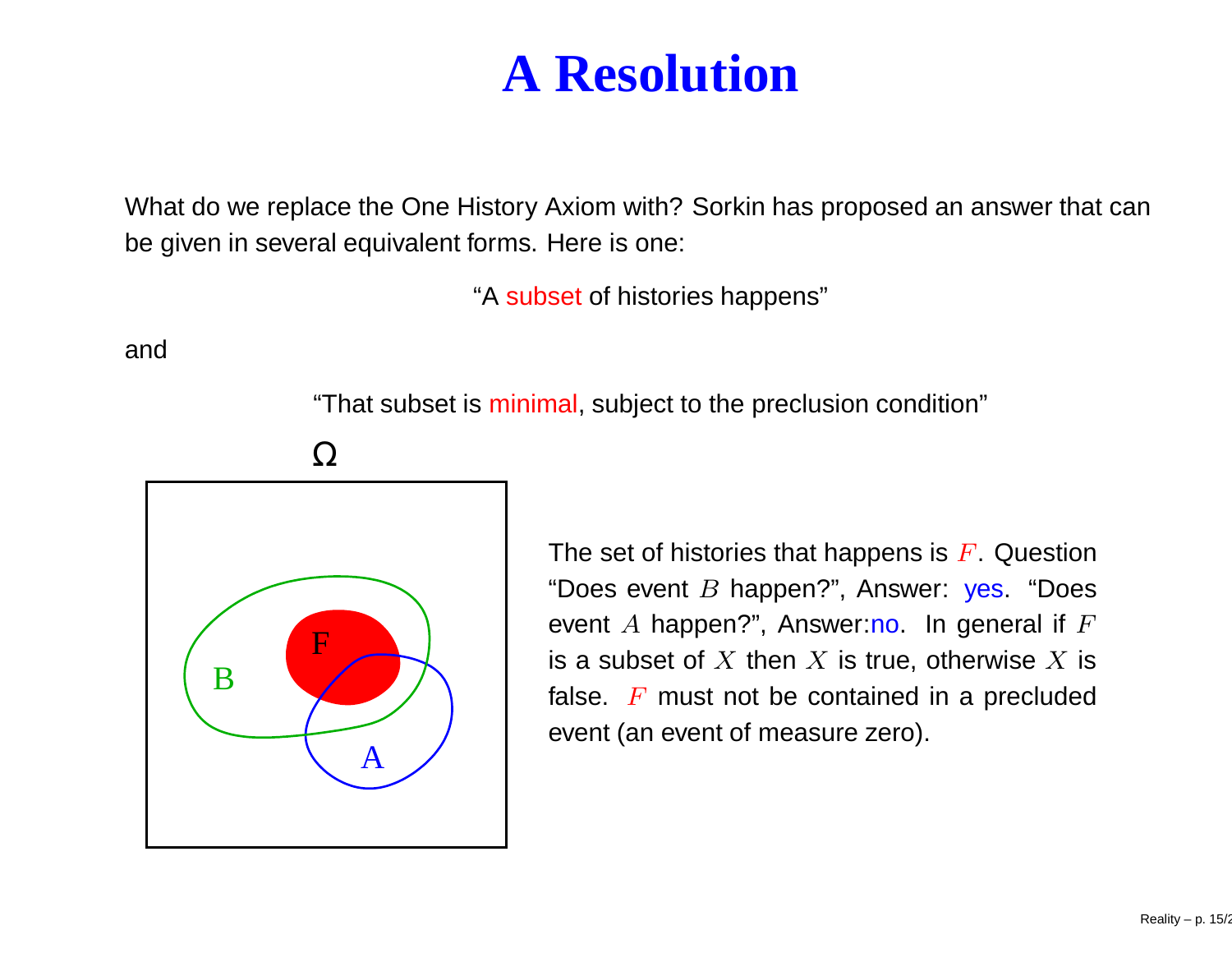#### **A Resolution**

What do we replace the One History Axiom with? Sorkin has proposed an answer that can be given in several equivalent forms. Here is one:

"A subset of histories happens"

and

"That subset is minimal, subject to the preclusion condition"

Ω



The set of histories that happens is  $F.$  Question "Does event *B* happen?", Answer: yes. "Does event  $A$  happen?", Answer:no. In general if  $F$ is a subset of  $X$  then  $X$  is true, otherwise  $X$  is false.  $F$  must not be contained in a precluded event (an event of measure zero).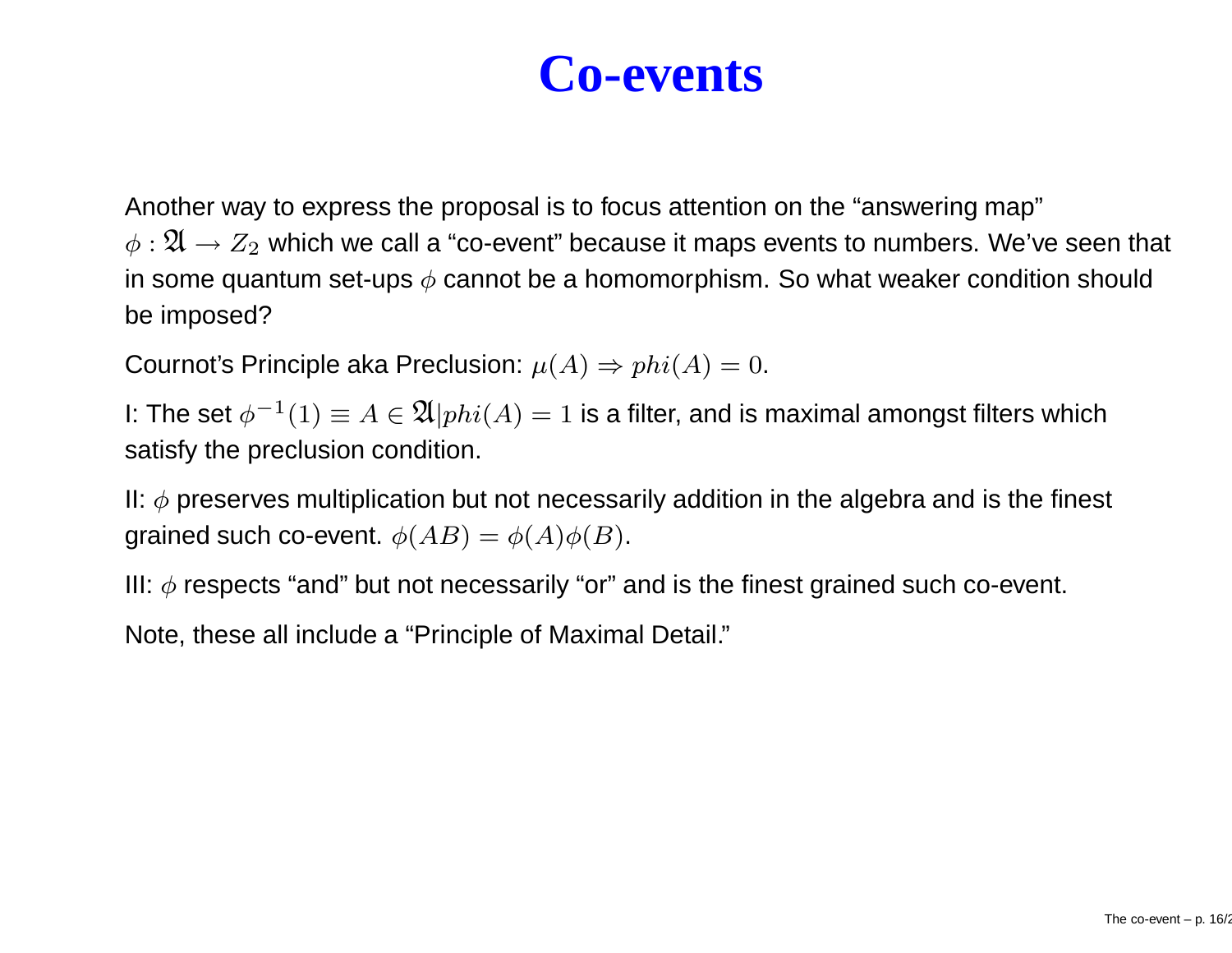#### **Co-events**

Another way to express the proposal is to focus attention on the "answering map"  $\phi: {\mathfrak{A}} \to Z_2$  which we call a "co-event" because it maps events to numbers. We've seen that in some quantum set-ups  $\phi$  cannot be a homomorphism. So what weaker condition should be imposed?

Cournot's Principle aka Preclusion:  $\mu(A) \Rightarrow phi(A) = 0.$ 

I: The set  $\phi^{-1}(1)\equiv A\in\mathfrak{A}\vert phi(A)=1$  is a filter, and is maximal amongst filters which satisfy the preclusion condition.

II:  $\phi$  preserves multiplication but not necessarily addition in the algebra and is the finest grained such co-event.  $\phi(AB) = \phi(A)\phi(B)$ .

III:  $\phi$  respects "and" but not necessarily "or" and is the finest grained such co-event.

Note, these all include <sup>a</sup> "Principle of Maximal Detail."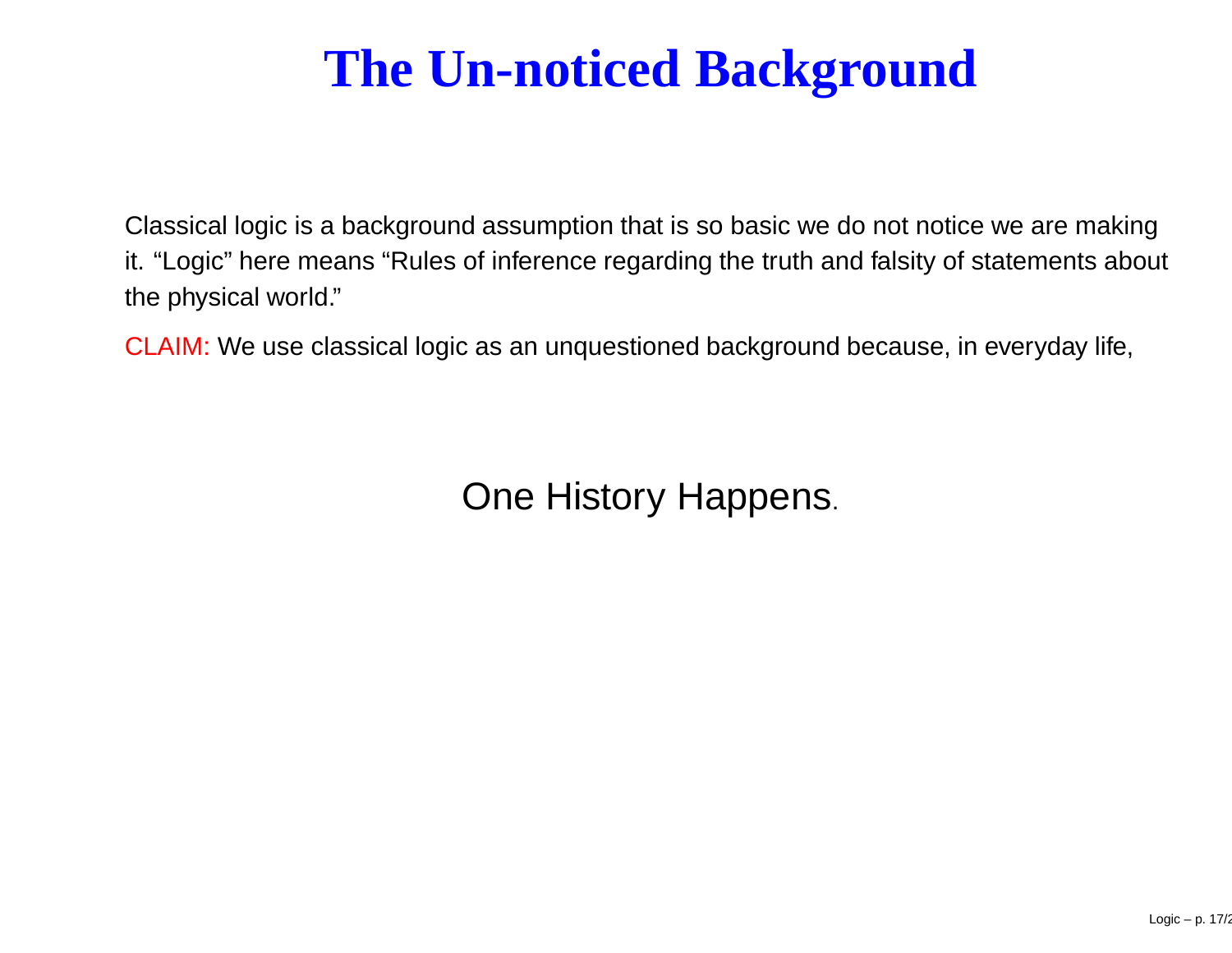## **The Un-noticed Background**

Classical logic is <sup>a</sup> background assumption that is so basic we do not notice we are making it. "Logic" here means "Rules of inference regarding the truth and falsity of statements about the physical world."

CLAIM: We use classical logic as an unquestioned background because, in everyday life,

One History Happens.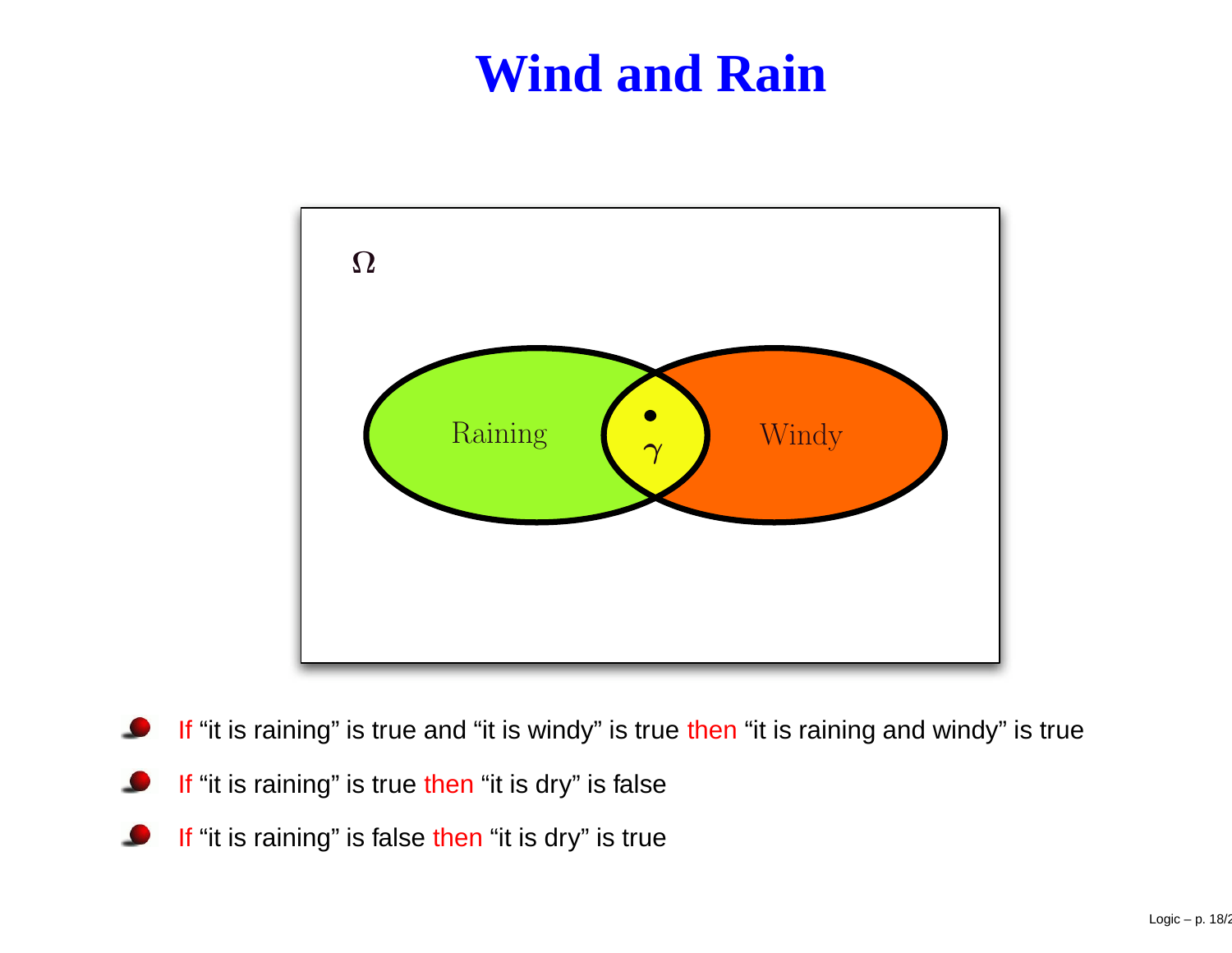#### **Wind and Rain**



- If "it is raining" is true and "it is windy" is true then "it is raining and windy" is true
- If "it is raining" is true then "it is dry" is false
- If "it is raining" is false then "it is dry" is true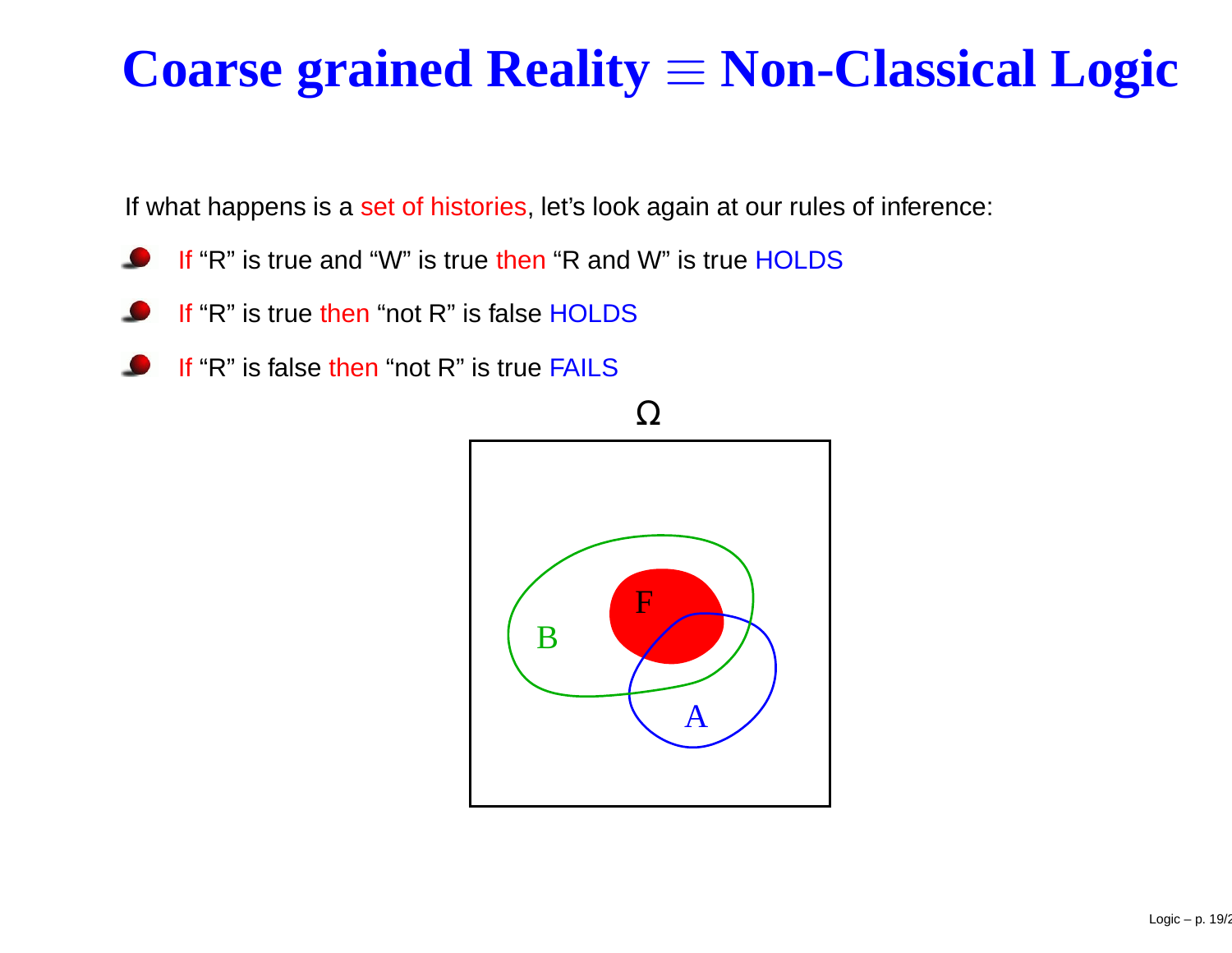# **Coarse grained Reality** <sup>≡</sup> **Non-Classical Logic**

If what happens is a set of histories, let's look again at our rules of inference:

- If "R" is true and "W" is true then "R and W" is true HOLDS
- If "R" is true then "not R" is false HOLDS
- If "R" is false then "not R" is true FAILS

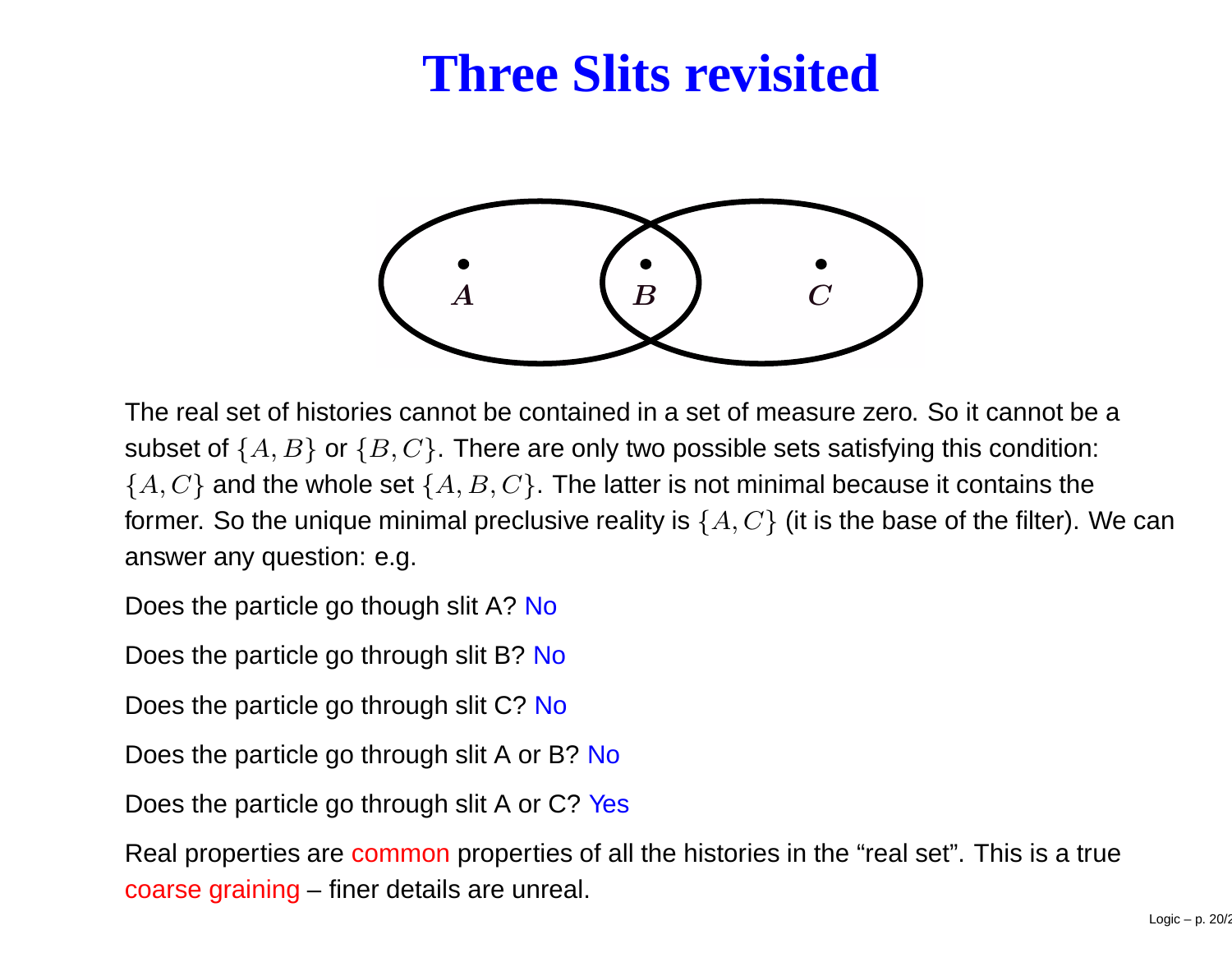### **Three Slits revisited**



The real set of histories cannot be contained in a set of measure zero. So it cannot be a subset of  $\{A,B\}$  or  $\{B,C\}.$  There are only two possible sets satisfying this condition:  $\{A, C\}$  and the whole set  $\{A, B, C\}$ . The latter is not minimal because it contains the former. So the unique minimal preclusive reality is  $\{A,C\}$  (it is the base of the filter). We can answer any question: e.g.

Does the particle go though slit A? <mark>No</mark>

Does the particle go through slit B? <mark>No</mark>

Does the particle go through slit C? <mark>No</mark>

Does the particle go through slit A or B? No

Does the particle go through slit A or C? Yes

Real properties are common properties of all the histories in the "real set". This is a true coarse graining – finer details are unreal.